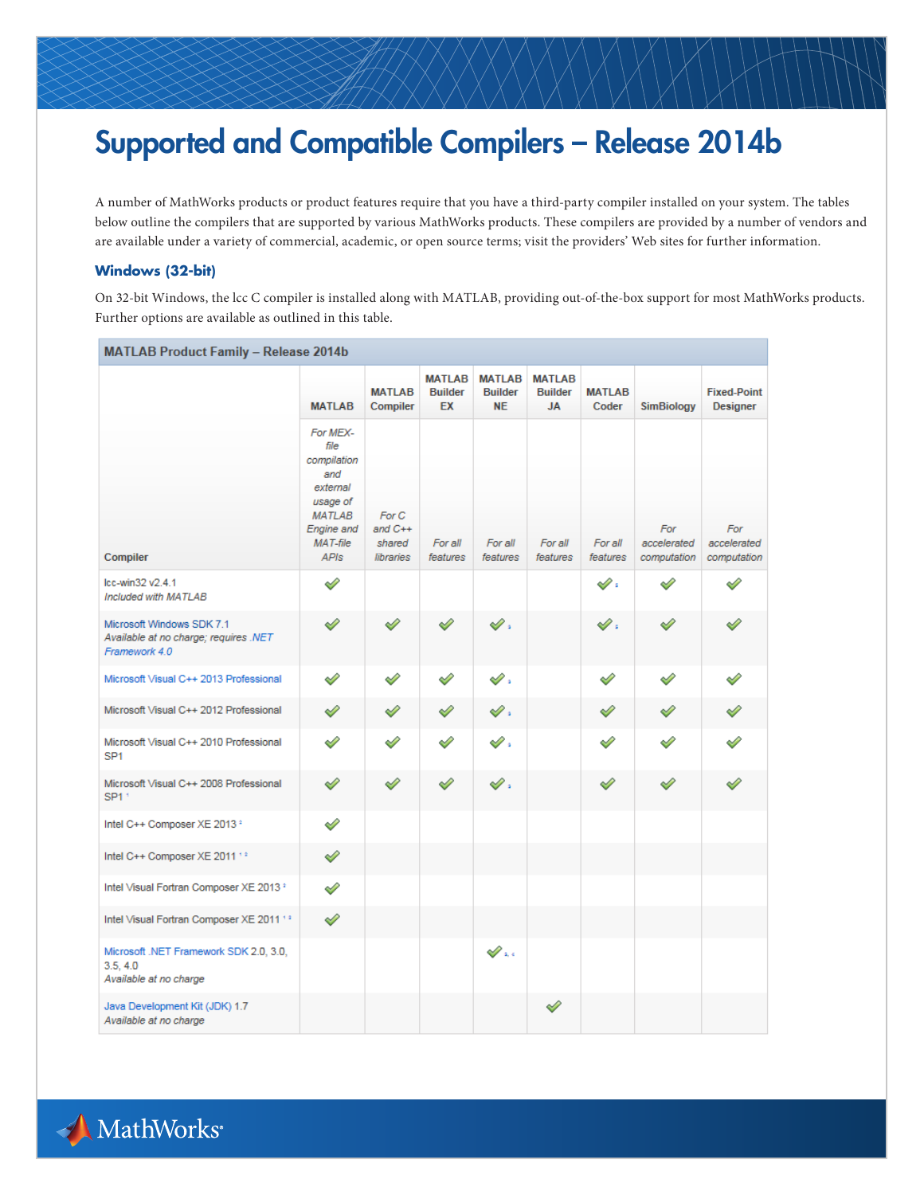# Supported and Compatible Compilers – Release 2014b

A number of MathWorks products or product features require that you have a third-party compiler installed on your system. The tables below outline the compilers that are supported by various MathWorks products. These compilers are provided by a number of vendors and are available under a variety of commercial, academic, or open source terms; visit the providers' Web sites for further information.

### **Windows (32-bit)**

On 32-bit Windows, the lcc C compiler is installed along with MATLAB, providing out-of-the-box support for most MathWorks products. Further options are available as outlined in this table.

| <b>MATLAB Product Family - Release 2014b</b>                                        |                                                                                                                                    |                                                  |                                       |                                              |                                              |                        |                                   |                                       |  |
|-------------------------------------------------------------------------------------|------------------------------------------------------------------------------------------------------------------------------------|--------------------------------------------------|---------------------------------------|----------------------------------------------|----------------------------------------------|------------------------|-----------------------------------|---------------------------------------|--|
|                                                                                     | <b>MATLAB</b>                                                                                                                      | <b>MATLAB</b><br>Compiler                        | <b>MATLAB</b><br><b>Builder</b><br>EX | <b>MATLAB</b><br><b>Builder</b><br><b>NE</b> | <b>MATLAB</b><br><b>Builder</b><br><b>JA</b> | <b>MATLAB</b><br>Coder | <b>SimBiology</b>                 | <b>Fixed-Point</b><br><b>Designer</b> |  |
| Compiler                                                                            | For MEX-<br>file<br>compilation<br>and<br>external<br>usage of<br><b>MATLAB</b><br><b>Engine</b> and<br>$MAT$ -file<br><b>APIs</b> | For C<br>and $C++$<br>shared<br><b>libraries</b> | For all<br>features                   | For all<br>features                          | For all<br>features                          | For all<br>features    | For<br>accelerated<br>computation | For<br>accelerated<br>computation     |  |
| Icc-win32 v2.4.1<br>Included with MATLAB                                            | ℐ                                                                                                                                  |                                                  |                                       |                                              |                                              | $\mathscr{O}$ :        | ৶                                 | ୰                                     |  |
| Microsoft Windows SDK 7.1<br>Available at no charge; requires .NET<br>Framework 4.0 | ♦                                                                                                                                  | ৶                                                | ✅                                     | s.                                           |                                              | s .                    | ৶                                 | ⇙                                     |  |
| Microsoft Visual C++ 2013 Professional                                              | ୰                                                                                                                                  | ⇙                                                | ♦                                     | s.                                           |                                              | ♦                      | ৶                                 | ♦                                     |  |
| Microsoft Visual C++ 2012 Professional                                              | ৶                                                                                                                                  | ⇙                                                | ৶                                     | $\mathscr{D}$ .                              |                                              | ⇙                      | ୰                                 | ୰                                     |  |
| Microsoft Visual C++ 2010 Professional<br>SP <sub>1</sub>                           | ୰                                                                                                                                  | Í                                                |                                       | v.                                           |                                              | ৶                      | Í                                 |                                       |  |
| Microsoft Visual C++ 2008 Professional<br>SP <sub>1</sub> <sup>+</sup>              | ৶                                                                                                                                  | ৶                                                | ♦                                     | v.                                           |                                              | ♦                      | ৶                                 | ৶                                     |  |
| Intel C++ Composer XE 2013 °                                                        | ℐ                                                                                                                                  |                                                  |                                       |                                              |                                              |                        |                                   |                                       |  |
| Intel C++ Composer XE 2011 13                                                       | ⇙                                                                                                                                  |                                                  |                                       |                                              |                                              |                        |                                   |                                       |  |
| Intel Visual Fortran Composer XE 2013 *                                             | ⇙                                                                                                                                  |                                                  |                                       |                                              |                                              |                        |                                   |                                       |  |
| Intel Visual Fortran Composer XE 2011 13                                            | ⇙                                                                                                                                  |                                                  |                                       |                                              |                                              |                        |                                   |                                       |  |
| Microsoft .NET Framework SDK 2.0, 3.0,<br>3.5, 4.0<br>Available at no charge        |                                                                                                                                    |                                                  |                                       | $\mathscr{D}_{\mathfrak{m}}$                 |                                              |                        |                                   |                                       |  |
| Java Development Kit (JDK) 1.7<br>Available at no charge                            |                                                                                                                                    |                                                  |                                       |                                              | ♦                                            |                        |                                   |                                       |  |

A MathWorks®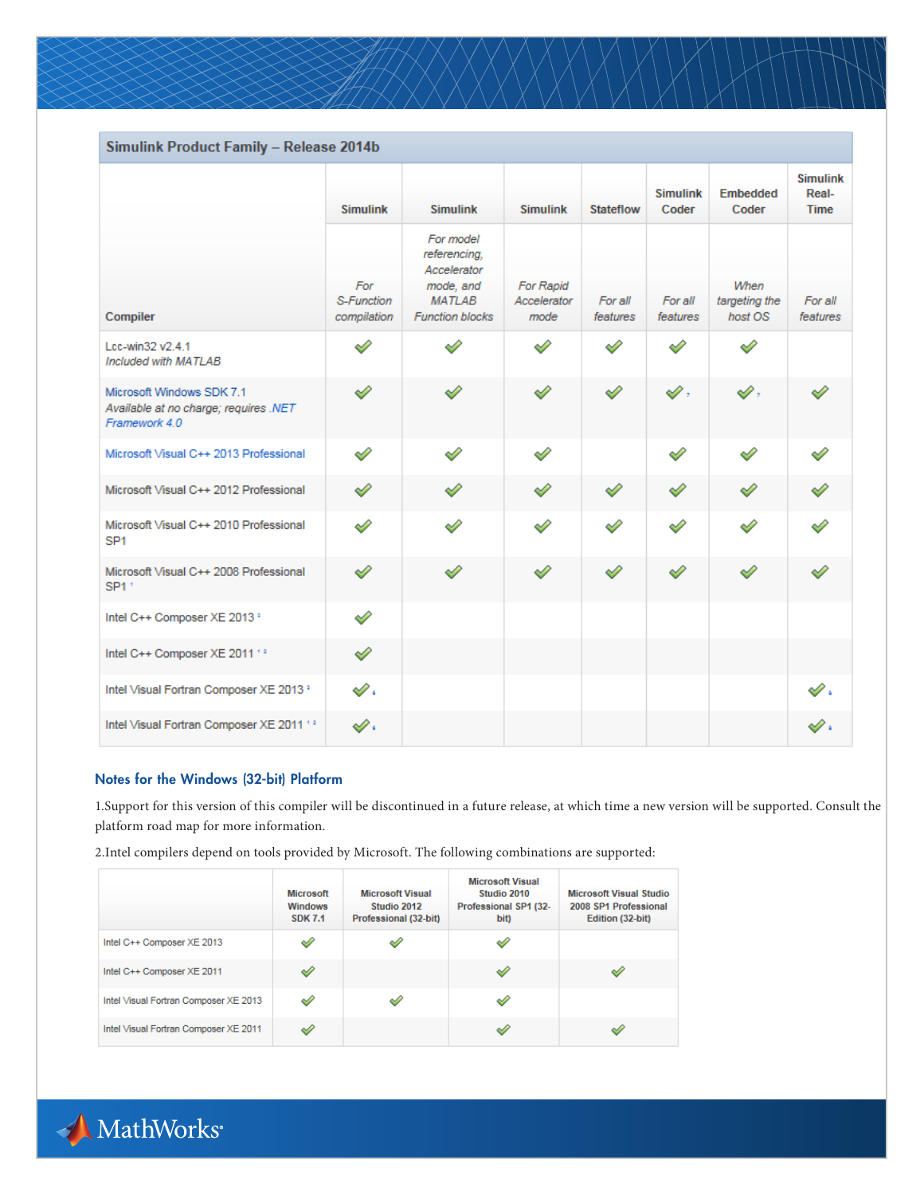| Simulink Product Family - Release 2014b                                             |                                  |                                                                                                  |                                  |                     |                          |                                  |                                         |
|-------------------------------------------------------------------------------------|----------------------------------|--------------------------------------------------------------------------------------------------|----------------------------------|---------------------|--------------------------|----------------------------------|-----------------------------------------|
|                                                                                     | <b>Simulink</b>                  | <b>Simulink</b>                                                                                  | <b>Simulink</b>                  | <b>Stateflow</b>    | <b>Simulink</b><br>Coder | <b>Embedded</b><br>Coder         | <b>Simulink</b><br>Real-<br><b>Time</b> |
| Compiler                                                                            | For<br>S-Function<br>compilation | For model<br>referencing.<br>Accelerator<br>mode, and<br><b>MATLAB</b><br><b>Function blocks</b> | For Rapid<br>Accelerator<br>mode | For all<br>features | For all<br>features      | When<br>targeting the<br>host OS | For all<br>features                     |
| Lcc-win32 v2.4.1<br>Included with MATLAB                                            | Í                                | $\mathscr{D}$                                                                                    | Í                                | ৶                   | ৶                        | Í                                |                                         |
| Microsoft Windows SDK 7.1<br>Available at no charge; requires .NET<br>Framework 4.0 | ✅                                | ৶                                                                                                | ৶                                | ৶                   | $\mathscr{Q}$ ,          | v,                               |                                         |
| Microsoft Visual C++ 2013 Professional                                              | ৶                                | ৶                                                                                                | ৶                                |                     | ✅                        | ৶                                | ৶                                       |
| Microsoft Visual C++ 2012 Professional                                              | ✅                                | ⇙                                                                                                | ৶                                | ⇙                   | ℐ                        | ✅                                | ৶                                       |
| Microsoft Visual C++ 2010 Professional<br>SP <sub>1</sub>                           | Í                                | ୰                                                                                                | Ï                                | ৶                   | Ï                        | ৶                                | ৶                                       |
| Microsoft Visual C++ 2008 Professional<br>SP1 <sup>+</sup>                          | ✓                                | ৶                                                                                                | ⇙                                | ⇙                   | ⇙                        | ⇙                                | ৶                                       |
| Intel C++ Composer XE 2013 °                                                        | $\mathscr{D}$                    |                                                                                                  |                                  |                     |                          |                                  |                                         |
| Intel C++ Composer XE 2011 12                                                       | ◇                                |                                                                                                  |                                  |                     |                          |                                  |                                         |
| Intel Visual Fortran Composer XE 2013 *                                             | $\mathscr{S}.$                   |                                                                                                  |                                  |                     |                          |                                  | $\mathscr{D}$ .                         |
| Intel Visual Fortran Composer XE 2011 12                                            | $\mathscr{D}$ .                  |                                                                                                  |                                  |                     |                          |                                  | s .                                     |

## Notes for the Windows (32-bit) Platform

1.Support for this version of this compiler will be discontinued in a future release, at which time a new version will be supported. Consult the platform road map for more information.

2.Intel compilers depend on tools provided by Microsoft. The following combinations are supported:

|                                       | <b>Microsoft</b><br><b>Windows</b><br><b>SDK 7.1</b> | <b>Microsoft Visual</b><br>Studio 2012<br>Professional (32-bit) | <b>Microsoft Visual</b><br>Studio 2010<br>Professional SP1 (32-<br>bit) | <b>Microsoft Visual Studio</b><br>2008 SP1 Professional<br>Edition (32-bit) |
|---------------------------------------|------------------------------------------------------|-----------------------------------------------------------------|-------------------------------------------------------------------------|-----------------------------------------------------------------------------|
| Intel C++ Composer XE 2013            | ୰                                                    | $\leq$                                                          | ◇                                                                       |                                                                             |
| Intel C++ Composer XE 2011            |                                                      |                                                                 | ୰                                                                       | ⊌                                                                           |
| Intel Visual Fortran Composer XE 2013 | ⇙                                                    | ✅                                                               | ୰                                                                       |                                                                             |
| Intel Visual Fortran Composer XE 2011 | ৶                                                    |                                                                 | ୰                                                                       |                                                                             |

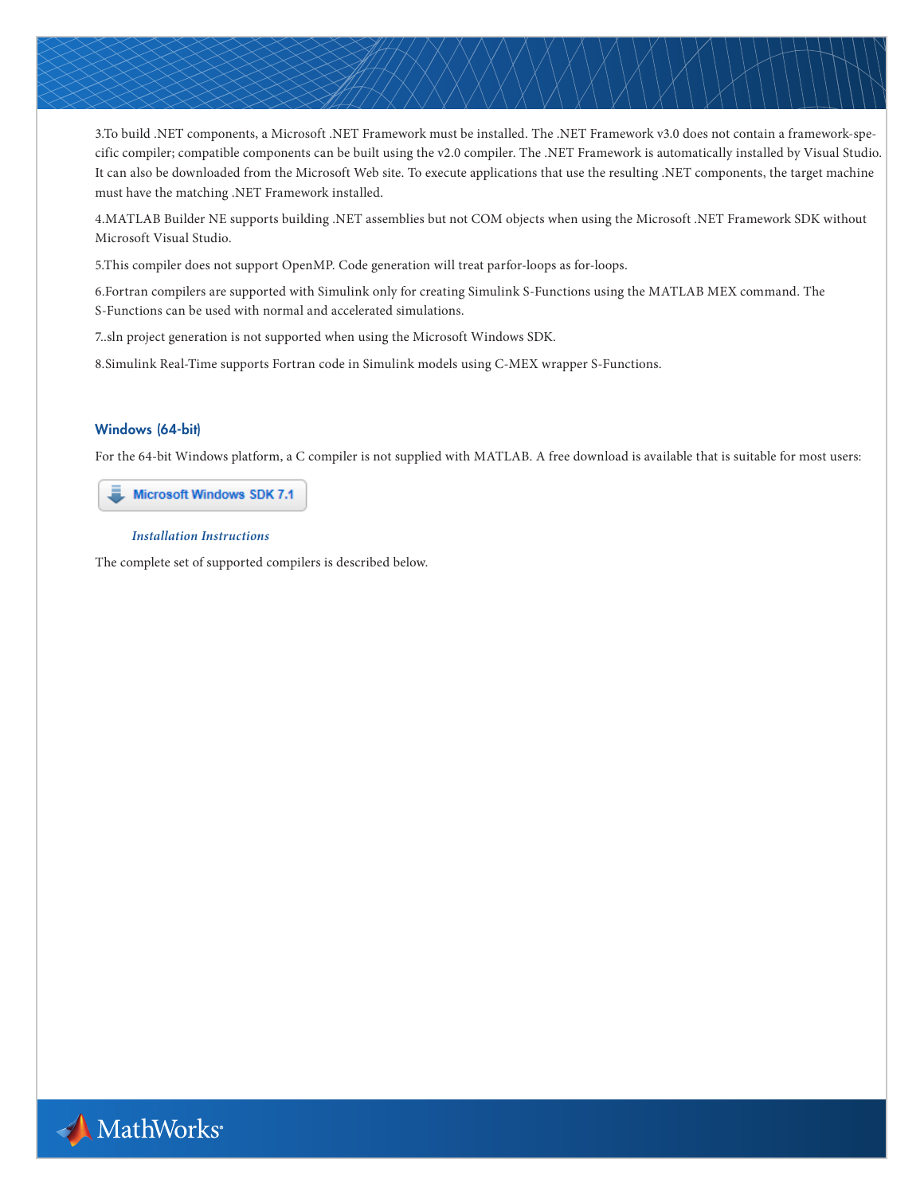3.To build .NET components, a Microsoft .NET Framework must be installed. The .NET Framework v3.0 does not contain a framework-specific compiler; compatible components can be built using the v2.0 compiler. The .NET Framework is automatically installed by Visual Studio. It can also be downloaded from the Microsoft Web site. To execute applications that use the resulting .NET components, the target machine must have the matching .NET Framework installed.

4.MATLAB Builder NE supports building .NET assemblies but not COM objects when using the Microsoft .NET Framework SDK without Microsoft Visual Studio.

5.This compiler does not support OpenMP. Code generation will treat parfor-loops as for-loops.

6.Fortran compilers are supported with Simulink only for creating Simulink S-Functions using the MATLAB MEX command. The S-Functions can be used with normal and accelerated simulations.

7..sln project generation is not supported when using the Microsoft Windows SDK.

8.Simulink Real-Time supports Fortran code in Simulink models using C-MEX wrapper S-Functions.

### Windows (64-bit)

For the 64-bit Windows platform, a C compiler is not supplied with MATLAB. A free download is available that is suitable for most users:

**Microsoft Windows SDK 7.1** 

#### *[Installation Instructions](http://www.mathworks.com/matlabcentral/answers/101105-how-do-i-install-microsoft-windows-sdk-7-1)*

The complete set of supported compilers is described below.

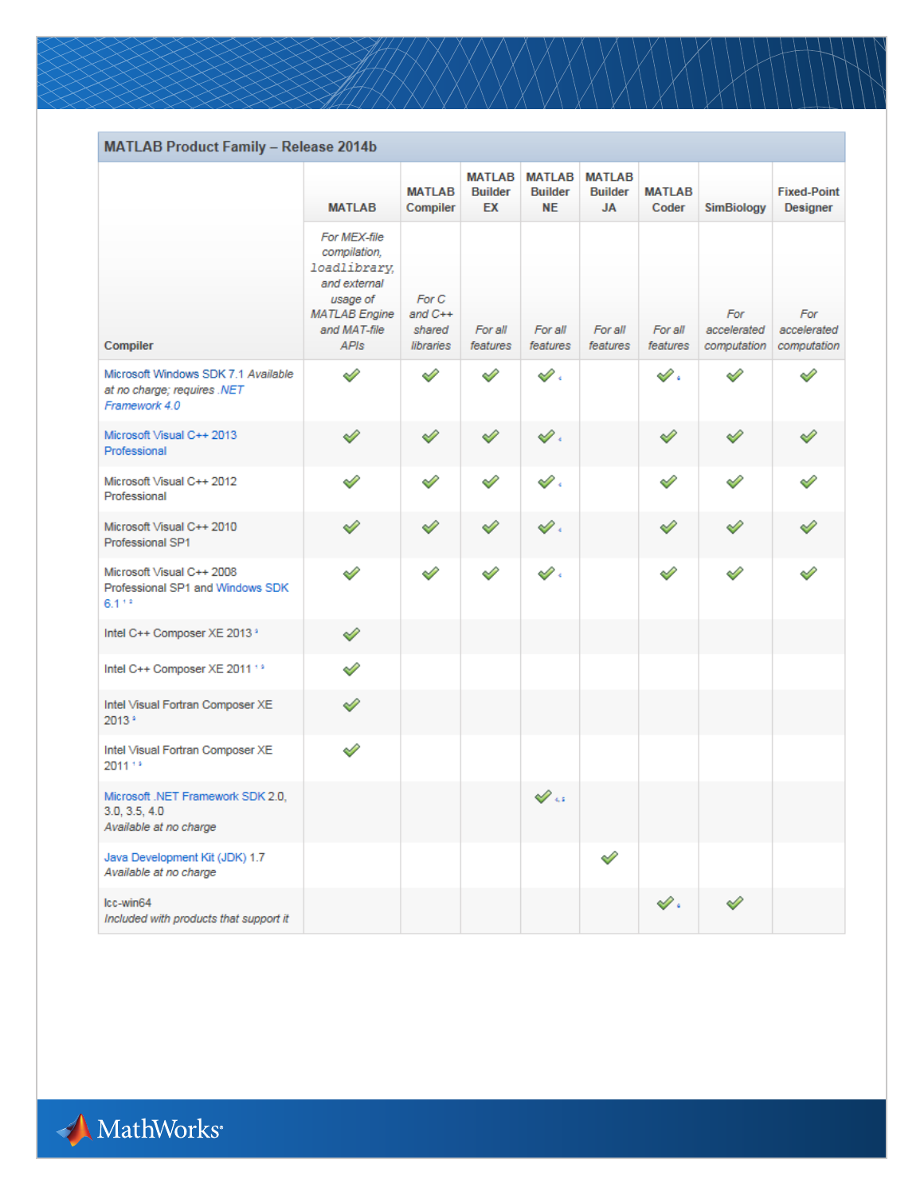| <b>MATLAB Product Family - Release 2014b</b>                                        |                                                                                                                                 |                                           |                                       |                                              |                                              |                        |                                   |                                       |
|-------------------------------------------------------------------------------------|---------------------------------------------------------------------------------------------------------------------------------|-------------------------------------------|---------------------------------------|----------------------------------------------|----------------------------------------------|------------------------|-----------------------------------|---------------------------------------|
|                                                                                     | <b>MATLAB</b>                                                                                                                   | <b>MATLAB</b><br>Compiler                 | <b>MATLAB</b><br><b>Builder</b><br>EX | <b>MATLAB</b><br><b>Builder</b><br><b>NE</b> | <b>MATLAB</b><br><b>Builder</b><br><b>JA</b> | <b>MATLAB</b><br>Coder | <b>SimBiology</b>                 | <b>Fixed-Point</b><br><b>Designer</b> |
| Compiler                                                                            | For MEX-file<br>compilation,<br>loadlibrary,<br>and external<br>usage of<br><b>MATLAB Engine</b><br>and MAT-file<br><b>APIs</b> | For C<br>and $C++$<br>shared<br>libraries | For all<br>features                   | For all<br>features                          | For all<br>features                          | For all<br>features    | For<br>accelerated<br>computation | For<br>accelerated<br>computation     |
| Microsoft Windows SDK 7.1 Available<br>at no charge; requires .NET<br>Framework 4.0 | ৶                                                                                                                               | ℐ                                         | ℐ                                     | $\mathscr{O}$ .                              |                                              | $\mathscr{S}.$         |                                   | $\mathscr{S}$                         |
| Microsoft Visual C++ 2013<br>Professional                                           | ୰                                                                                                                               | ৶                                         | ✅                                     | s .                                          |                                              | ✓                      | ৶                                 | ⇙                                     |
| Microsoft Visual C++ 2012<br>Professional                                           | ✅                                                                                                                               | ⇙                                         | Í                                     | s .                                          |                                              | ୰                      | ✅                                 | ৶                                     |
| Microsoft Visual C++ 2010<br>Professional SP1                                       | ৶                                                                                                                               | ৶                                         | ⇙                                     | s .                                          |                                              | ♦                      | ⇙                                 |                                       |
| Microsoft Visual C++ 2008<br>Professional SP1 and Windows SDK<br>$6.1 + 2$          | ✅                                                                                                                               | Í                                         | ৶                                     | s r                                          |                                              | ৶                      | ⇙                                 |                                       |
| Intel C++ Composer XE 2013 °                                                        | ⇙                                                                                                                               |                                           |                                       |                                              |                                              |                        |                                   |                                       |
| Intel C++ Composer XE 2011 13                                                       | ⇙                                                                                                                               |                                           |                                       |                                              |                                              |                        |                                   |                                       |
| Intel Visual Fortran Composer XE<br>2013 *                                          | ⇙                                                                                                                               |                                           |                                       |                                              |                                              |                        |                                   |                                       |
| Intel Visual Fortran Composer XE<br>2011 13                                         | ⇙                                                                                                                               |                                           |                                       |                                              |                                              |                        |                                   |                                       |
| Microsoft .NET Framework SDK 2.0.<br>3.0, 3.5, 4.0<br>Available at no charge        |                                                                                                                                 |                                           |                                       | $\mathscr{D}$ is                             |                                              |                        |                                   |                                       |
| Java Development Kit (JDK) 1.7<br>Available at no charge                            |                                                                                                                                 |                                           |                                       |                                              | Í                                            |                        |                                   |                                       |
| Icc-win64<br>Included with products that support it                                 |                                                                                                                                 |                                           |                                       |                                              |                                              | $\mathscr{O}$ .        | ⇙                                 |                                       |

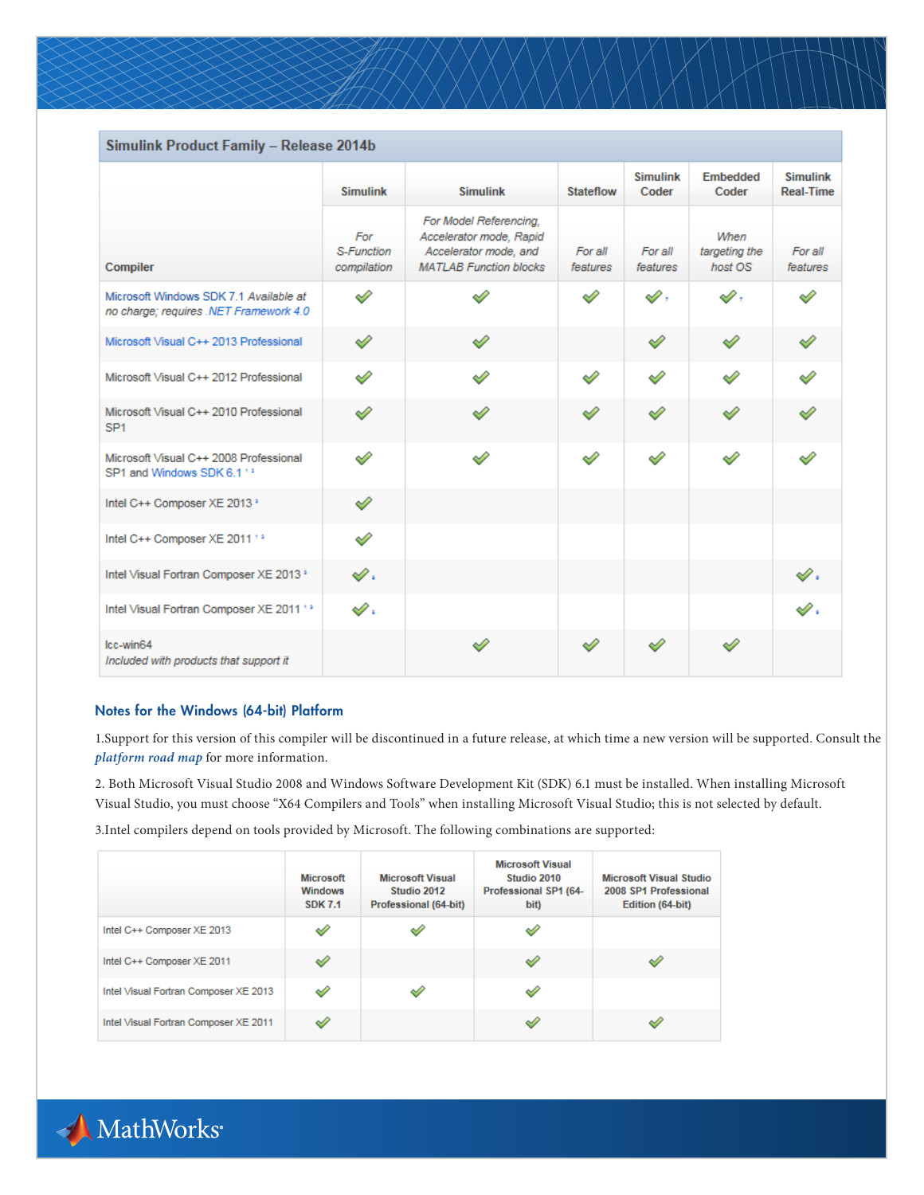| Simulink Product Family - Release 2014b                                          |                                  |                                                                                                             |                     |                          |                                  |                                     |
|----------------------------------------------------------------------------------|----------------------------------|-------------------------------------------------------------------------------------------------------------|---------------------|--------------------------|----------------------------------|-------------------------------------|
|                                                                                  | <b>Simulink</b>                  | <b>Simulink</b>                                                                                             | Stateflow           | <b>Simulink</b><br>Coder | <b>Embedded</b><br>Coder         | <b>Simulink</b><br><b>Real-Time</b> |
| Compiler                                                                         | For<br>S-Function<br>compilation | For Model Referencing,<br>Accelerator mode, Rapid<br>Accelerator mode, and<br><b>MATLAB Function blocks</b> | For all<br>features | For all<br>features      | When<br>targeting the<br>host OS | For all<br>features                 |
| Microsoft Windows SDK 7.1 Available at<br>no charge; requires .NET Framework 4.0 | ৶                                | ✓                                                                                                           | T                   | $\mathscr{D}$ ,          | A ,                              |                                     |
| Microsoft Visual C++ 2013 Professional                                           | ৶                                | ৶                                                                                                           |                     | ৶                        | ৶                                | ৶                                   |
| Microsoft Visual C++ 2012 Professional                                           | ৶                                | I                                                                                                           | ৶                   | ৶                        | Í                                | ৶                                   |
| Microsoft Visual C++ 2010 Professional<br>SP <sub>1</sub>                        | ৶                                | ৶                                                                                                           | ৶                   | ৶                        | ৶                                | ৶                                   |
| Microsoft Visual C++ 2008 Professional<br>SP1 and Windows SDK 6.1 13             | ৶                                | ৶                                                                                                           | Í                   | ৶                        | ৶                                | Í                                   |
| Intel C++ Composer XE 2013 °                                                     | ⇙                                |                                                                                                             |                     |                          |                                  |                                     |
| Intel C++ Composer XE 2011 13                                                    | ৶                                |                                                                                                             |                     |                          |                                  |                                     |
| Intel Visual Fortran Composer XE 2013 *                                          | $\mathscr{O}$ .                  |                                                                                                             |                     |                          |                                  | $\mathscr{D}$ .                     |
| Intel Visual Fortran Composer XE 2011 13                                         | $\mathscr{O}$ .                  |                                                                                                             |                     |                          |                                  | $\mathscr{S}.$                      |
| Icc-win64<br>Included with products that support it                              |                                  | ୰                                                                                                           |                     |                          |                                  |                                     |

## Notes for the Windows (64-bit) Platform

1.Support for this version of this compiler will be discontinued in a future release, at which time a new version will be supported. Consult the *[platform road map](http://www.mathworks.com/support/sysreq/roadmap.html)* for more information.

2. Both Microsoft Visual Studio 2008 and Windows Software Development Kit (SDK) 6.1 must be installed. When installing Microsoft Visual Studio, you must choose "X64 Compilers and Tools" when installing Microsoft Visual Studio; this is not selected by default.

3.Intel compilers depend on tools provided by Microsoft. The following combinations are supported:

|                                       | <b>Microsoft</b><br><b>Windows</b><br><b>SDK 7.1</b> | <b>Microsoft Visual</b><br>Studio 2012<br>Professional (64-bit) | <b>Microsoft Visual</b><br>Studio 2010<br>Professional SP1 (64-<br>bit) | <b>Microsoft Visual Studio</b><br>2008 SP1 Professional<br>Edition (64-bit) |
|---------------------------------------|------------------------------------------------------|-----------------------------------------------------------------|-------------------------------------------------------------------------|-----------------------------------------------------------------------------|
| Intel C++ Composer XE 2013            | $\overline{\phantom{a}}$                             | ୰                                                               | $\leqslant$                                                             |                                                                             |
| Intel C++ Composer XE 2011            |                                                      |                                                                 | ৶                                                                       |                                                                             |
| Intel Visual Fortran Composer XE 2013 | ৶                                                    | ✓                                                               | ⇙                                                                       |                                                                             |
| Intel Visual Fortran Composer XE 2011 |                                                      |                                                                 | ৶                                                                       |                                                                             |

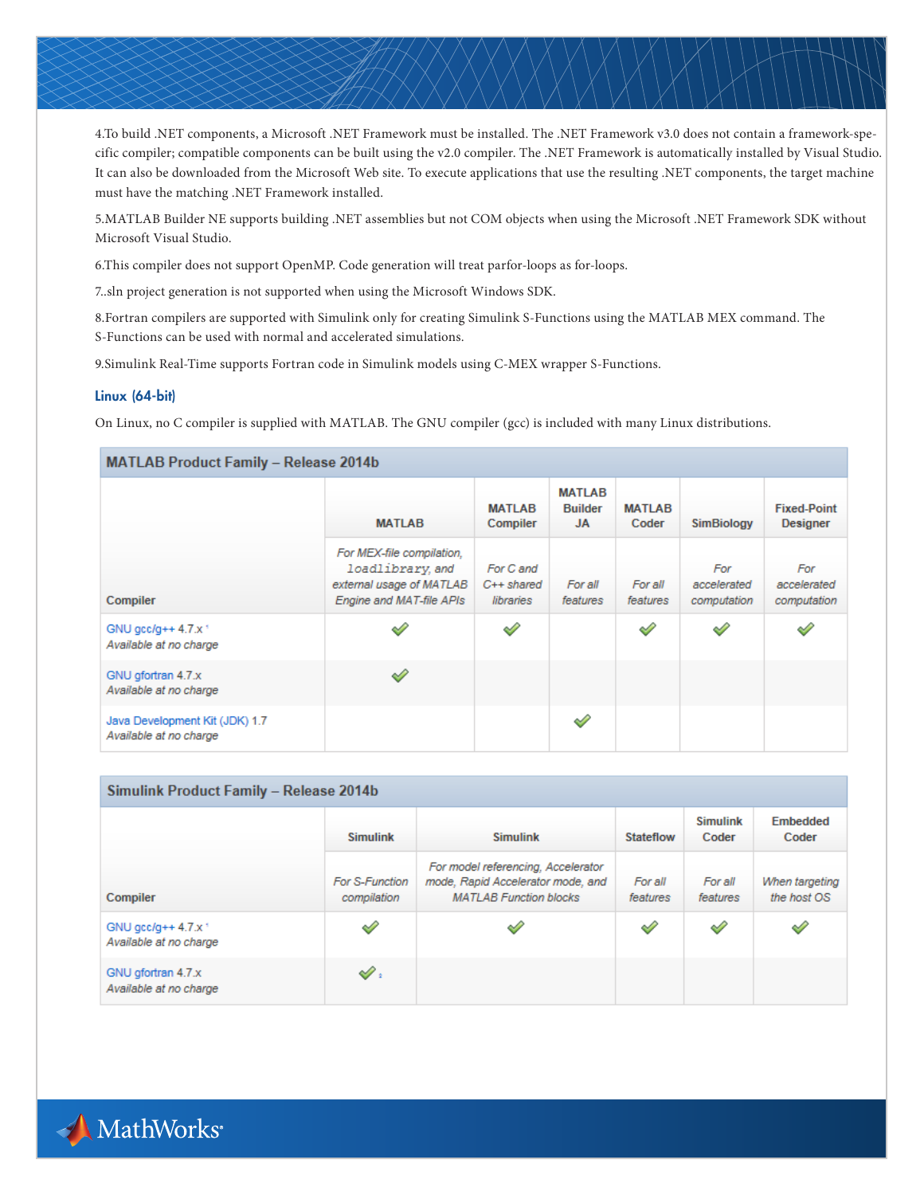4.To build .NET components, a Microsoft .NET Framework must be installed. The .NET Framework v3.0 does not contain a framework-specific compiler; compatible components can be built using the v2.0 compiler. The .NET Framework is automatically installed by Visual Studio. It can also be downloaded from the Microsoft Web site. To execute applications that use the resulting .NET components, the target machine must have the matching .NET Framework installed.

5.MATLAB Builder NE supports building .NET assemblies but not COM objects when using the Microsoft .NET Framework SDK without Microsoft Visual Studio.

6.This compiler does not support OpenMP. Code generation will treat parfor-loops as for-loops.

7..sln project generation is not supported when using the Microsoft Windows SDK.

8.Fortran compilers are supported with Simulink only for creating Simulink S-Functions using the MATLAB MEX command. The S-Functions can be used with normal and accelerated simulations.

9.Simulink Real-Time supports Fortran code in Simulink models using C-MEX wrapper S-Functions.

### Linux (64-bit)

On Linux, no C compiler is supplied with MATLAB. The GNU compiler (gcc) is included with many Linux distributions.

| <b>MATLAB Product Family - Release 2014b</b>              |                                                                                                      |                                       |                                       |                        |                                   |                                       |  |  |  |
|-----------------------------------------------------------|------------------------------------------------------------------------------------------------------|---------------------------------------|---------------------------------------|------------------------|-----------------------------------|---------------------------------------|--|--|--|
|                                                           | <b>MATLAB</b>                                                                                        | <b>MATLAB</b><br>Compiler             | <b>MATLAB</b><br><b>Builder</b><br>JA | <b>MATLAB</b><br>Coder | <b>SimBiology</b>                 | <b>Fixed-Point</b><br><b>Designer</b> |  |  |  |
| Compiler                                                  | For MEX-file compilation,<br>loadlibrary.and<br>external usage of MATLAB<br>Engine and MAT-file APIs | For C and<br>$C++shared$<br>libraries | For all<br>features                   | For all<br>features    | For<br>accelerated<br>computation | For<br>accelerated<br>computation     |  |  |  |
| GNU $qcc/q++4.7.x$ <sup>+</sup><br>Available at no charge | ୰                                                                                                    |                                       |                                       | ⇙                      | ✓                                 |                                       |  |  |  |
| GNU gfortran 4.7.x<br>Available at no charge              | ℐ                                                                                                    |                                       |                                       |                        |                                   |                                       |  |  |  |
| Java Development Kit (JDK) 1.7<br>Available at no charge  |                                                                                                      |                                       | ✓                                     |                        |                                   |                                       |  |  |  |

| Simulink Product Family - Release 2014b                   |                               |                                                                                                          |                     |                          |                               |  |  |  |  |
|-----------------------------------------------------------|-------------------------------|----------------------------------------------------------------------------------------------------------|---------------------|--------------------------|-------------------------------|--|--|--|--|
|                                                           | <b>Simulink</b>               | <b>Simulink</b>                                                                                          | <b>Stateflow</b>    | <b>Simulink</b><br>Coder | <b>Embedded</b><br>Coder      |  |  |  |  |
| Compiler                                                  | For S-Function<br>compilation | For model referencing, Accelerator<br>mode, Rapid Accelerator mode, and<br><b>MATLAB Function blocks</b> | For all<br>features | For all<br>features      | When targeting<br>the host OS |  |  |  |  |
| GNU $qcc/q++4.7.x$ <sup>+</sup><br>Available at no charge | ✓                             | ୰                                                                                                        | $\leq$              | $\mathscr{S}$            | ✓                             |  |  |  |  |
| GNU gfortran 4.7.x<br>Available at no charge              | $\mathscr{O}$ :               |                                                                                                          |                     |                          |                               |  |  |  |  |

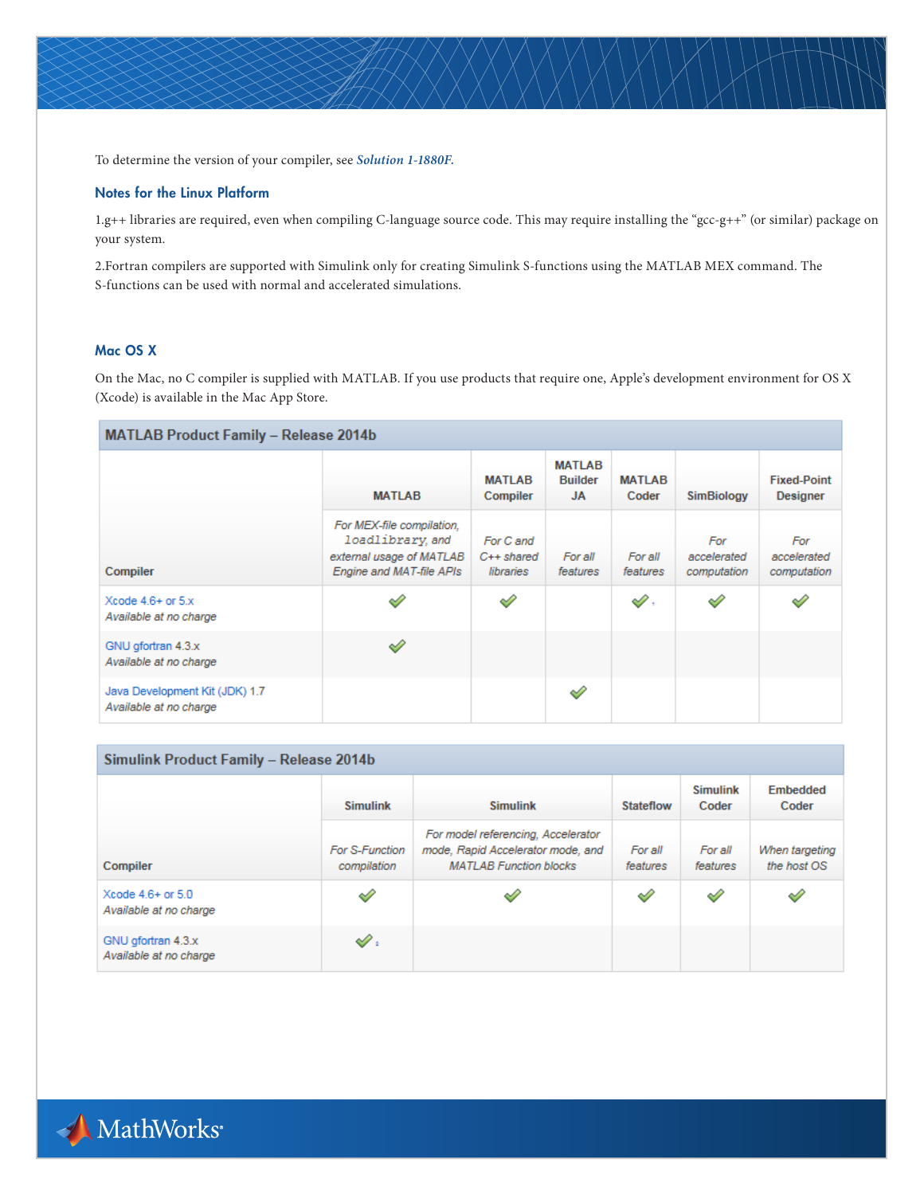To determine the version of your compiler, see *[Solution 1-1880F.](http://www.mathworks.com/matlabcentral/answers/99897-how-can-i-determine-the-platform-and-compiler-version-that-i-am-using)*

## Notes for the Linux Platform

1.g++ libraries are required, even when compiling C-language source code. This may require installing the "gcc-g++" (or similar) package on your system.

2.Fortran compilers are supported with Simulink only for creating Simulink S-functions using the MATLAB MEX command. The S-functions can be used with normal and accelerated simulations.

## Mac OS X

On the Mac, no C compiler is supplied with MATLAB. If you use products that require one, Apple's development environment for OS X (Xcode) is available in the Mac App Store.

## MATLAB Product Family - Release 2014b

|                                                          | <b>MATLAB</b>                                                                                        | <b>MATLAB</b><br>Compiler             | <b>MATLAB</b><br><b>Builder</b><br><b>JA</b> | <b>MATLAB</b><br>Coder | <b>SimBiology</b>                 | <b>Fixed-Point</b><br><b>Designer</b> |
|----------------------------------------------------------|------------------------------------------------------------------------------------------------------|---------------------------------------|----------------------------------------------|------------------------|-----------------------------------|---------------------------------------|
| Compiler                                                 | For MEX-file compilation,<br>loadlibrary.and<br>external usage of MATLAB<br>Engine and MAT-file APIs | For C and<br>$C++shared$<br>libraries | For all<br>features                          | For all<br>features    | For<br>accelerated<br>computation | For<br>accelerated<br>computation     |
| Xcode $4.6+$ or $5.x$<br>Available at no charge          | ୰                                                                                                    | ୰                                     |                                              | $\mathscr{D}$ .        | ⇙                                 | $\mathscr{D}$                         |
| GNU gfortran 4.3.x<br>Available at no charge             | ৶                                                                                                    |                                       |                                              |                        |                                   |                                       |
| Java Development Kit (JDK) 1.7<br>Available at no charge |                                                                                                      |                                       | ⇙                                            |                        |                                   |                                       |

| Simulink Product Family - Release 2014b         |                               |                                                                                                          |                     |                          |                               |  |  |  |  |
|-------------------------------------------------|-------------------------------|----------------------------------------------------------------------------------------------------------|---------------------|--------------------------|-------------------------------|--|--|--|--|
|                                                 | <b>Simulink</b>               | <b>Simulink</b>                                                                                          | <b>Stateflow</b>    | <b>Simulink</b><br>Coder | <b>Embedded</b><br>Coder      |  |  |  |  |
| Compiler                                        | For S-Function<br>compilation | For model referencing, Accelerator<br>mode, Rapid Accelerator mode, and<br><b>MATLAB Function blocks</b> | For all<br>features | For all<br>features      | When targeting<br>the host OS |  |  |  |  |
| Xcode $4.6+$ or $5.0$<br>Available at no charge | ✓                             |                                                                                                          | Í                   | $\mathscr{S}$            | Í                             |  |  |  |  |
| GNU gfortran 4.3.x<br>Available at no charge    | $\mathscr{O}$ :               |                                                                                                          |                     |                          |                               |  |  |  |  |